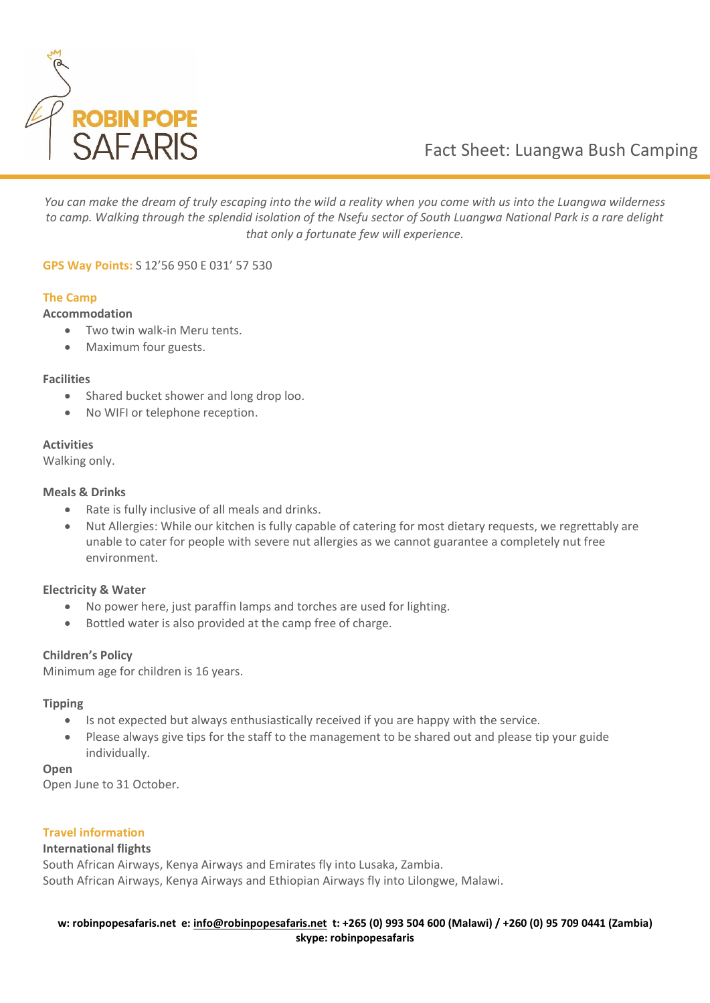

# Fact Sheet: Luangwa Bush Camping

*You can make the dream of truly escaping into the wild a reality when you come with us into the Luangwa wilderness to camp. Walking through the splendid isolation of the Nsefu sector of South Luangwa National Park is a rare delight that only a fortunate few will experience.*

**GPS Way Points:** S 12'56 950 E 031' 57 530

## **The Camp**

#### **Accommodation**

- Two twin walk-in Meru tents.
- Maximum four guests.

#### **Facilities**

- Shared bucket shower and long drop loo.
- No WIFI or telephone reception.

#### **Activities**

Walking only.

#### **Meals & Drinks**

- Rate is fully inclusive of all meals and drinks.
- Nut Allergies: While our kitchen is fully capable of catering for most dietary requests, we regrettably are unable to cater for people with severe nut allergies as we cannot guarantee a completely nut free environment.

## **Electricity & Water**

- No power here, just paraffin lamps and torches are used for lighting.
- Bottled water is also provided at the camp free of charge.

## **Children's Policy**

Minimum age for children is 16 years.

## **Tipping**

- Is not expected but always enthusiastically received if you are happy with the service.
- Please always give tips for the staff to the management to be shared out and please tip your guide individually.

#### **Open**

Open June to 31 October.

## **Travel information**

#### **International flights**

South African Airways, Kenya Airways and Emirates fly into Lusaka, Zambia. South African Airways, Kenya Airways and Ethiopian Airways fly into Lilongwe, Malawi.

#### **w: robinpopesafaris.net e: [info@robinpopesafaris.net](mailto:info@robinpopesafaris.net) t: +265 (0) 993 504 600 (Malawi) / +260 (0) 95 709 0441 (Zambia) skype: robinpopesafaris**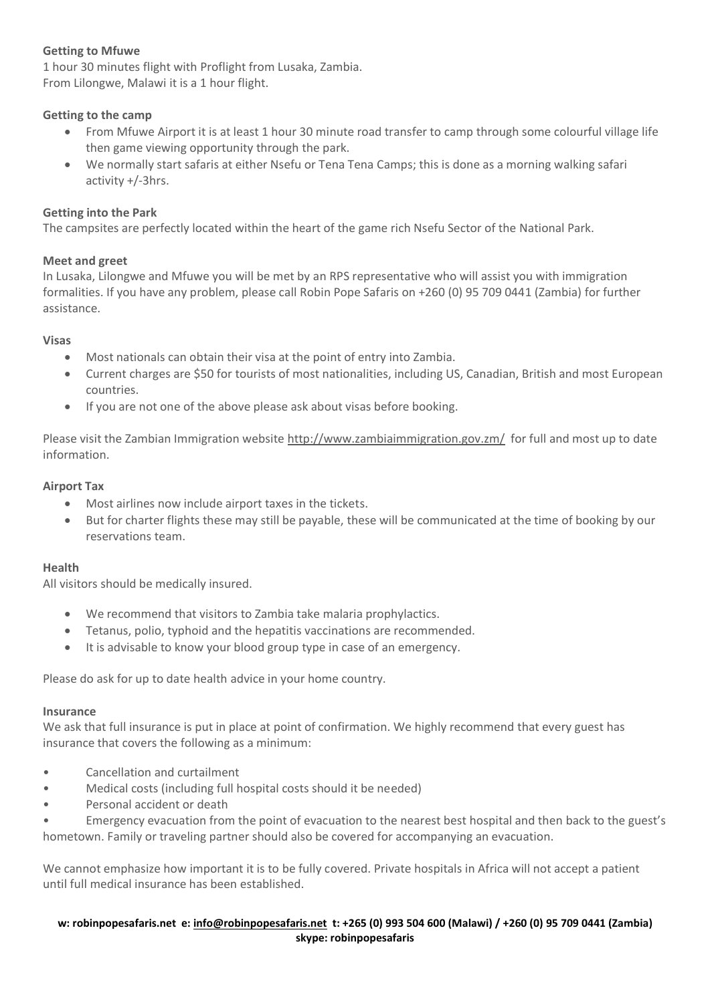# **Getting to Mfuwe**

1 hour 30 minutes flight with Proflight from Lusaka, Zambia. From Lilongwe, Malawi it is a 1 hour flight.

## **Getting to the camp**

- From Mfuwe Airport it is at least 1 hour 30 minute road transfer to camp through some colourful village life then game viewing opportunity through the park.
- We normally start safaris at either Nsefu or Tena Tena Camps; this is done as a morning walking safari activity +/-3hrs.

## **Getting into the Park**

The campsites are perfectly located within the heart of the game rich Nsefu Sector of the National Park.

## **Meet and greet**

In Lusaka, Lilongwe and Mfuwe you will be met by an RPS representative who will assist you with immigration formalities. If you have any problem, please call Robin Pope Safaris on +260 (0) 95 709 0441 (Zambia) for further assistance.

## **Visas**

- Most nationals can obtain their visa at the point of entry into Zambia.
- Current charges are \$50 for tourists of most nationalities, including US, Canadian, British and most European countries.
- If you are not one of the above please ask about visas before booking.

Please visit the Zambian Immigration website<http://www.zambiaimmigration.gov.zm/>for full and most up to date information.

## **Airport Tax**

- Most airlines now include airport taxes in the tickets.
- But for charter flights these may still be payable, these will be communicated at the time of booking by our reservations team.

## **Health**

All visitors should be medically insured.

- We recommend that visitors to Zambia take malaria prophylactics.
- Tetanus, polio, typhoid and the hepatitis vaccinations are recommended.
- It is advisable to know your blood group type in case of an emergency.

Please do ask for up to date health advice in your home country.

## **Insurance**

We ask that full insurance is put in place at point of confirmation. We highly recommend that every guest has insurance that covers the following as a minimum:

- Cancellation and curtailment
- Medical costs (including full hospital costs should it be needed)
- Personal accident or death

• Emergency evacuation from the point of evacuation to the nearest best hospital and then back to the guest's hometown. Family or traveling partner should also be covered for accompanying an evacuation.

We cannot emphasize how important it is to be fully covered. Private hospitals in Africa will not accept a patient until full medical insurance has been established.

## **w: robinpopesafaris.net e: [info@robinpopesafaris.net](mailto:info@robinpopesafaris.net) t: +265 (0) 993 504 600 (Malawi) / +260 (0) 95 709 0441 (Zambia) skype: robinpopesafaris**